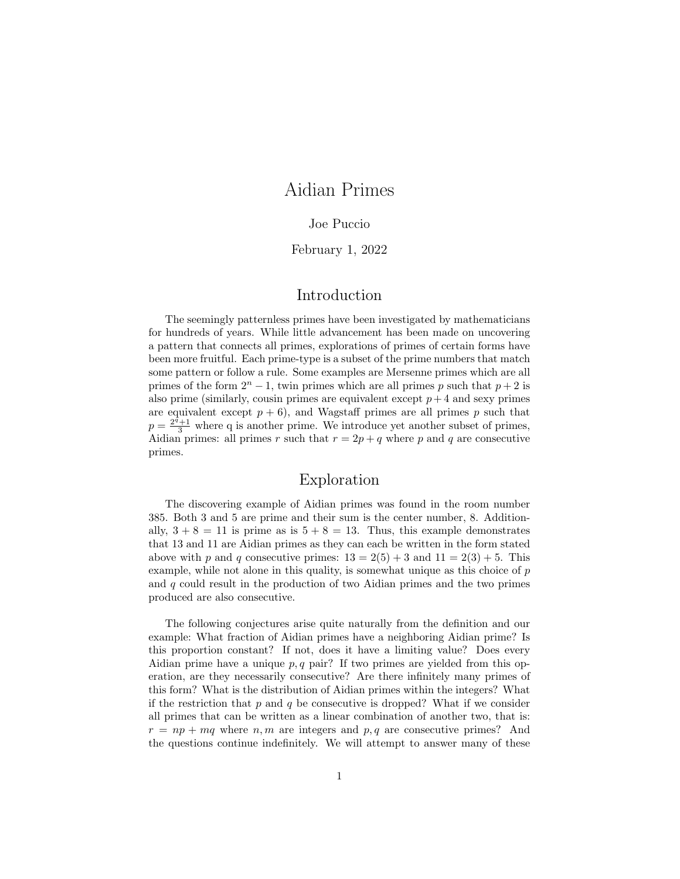# Aidian Primes

### Joe Puccio

### February 1, 2022

### Introduction

The seemingly patternless primes have been investigated by mathematicians for hundreds of years. While little advancement has been made on uncovering a pattern that connects all primes, explorations of primes of certain forms have been more fruitful. Each prime-type is a subset of the prime numbers that match some pattern or follow a rule. Some examples are Mersenne primes which are all primes of the form  $2^n - 1$ , twin primes which are all primes p such that  $p + 2$  is also prime (similarly, cousin primes are equivalent except  $p+4$  and sexy primes are equivalent except  $p + 6$ ), and Wagstaff primes are all primes  $p$  such that  $p = \frac{2^{\tilde{q}}+1}{3}$  where q is another prime. We introduce yet another subset of primes, Aidian primes: all primes *r* such that  $r = 2p + q$  where *p* and *q* are consecutive primes.

## Exploration

The discovering example of Aidian primes was found in the room number 385. Both 3 and 5 are prime and their sum is the center number, 8. Additionally,  $3 + 8 = 11$  is prime as is  $5 + 8 = 13$ . Thus, this example demonstrates that 13 and 11 are Aidian primes as they can each be written in the form stated above with *p* and *q* consecutive primes:  $13 = 2(5) + 3$  and  $11 = 2(3) + 5$ . This example, while not alone in this quality, is somewhat unique as this choice of *p* and *q* could result in the production of two Aidian primes and the two primes produced are also consecutive.

The following conjectures arise quite naturally from the definition and our example: What fraction of Aidian primes have a neighboring Aidian prime? Is this proportion constant? If not, does it have a limiting value? Does every Aidian prime have a unique  $p, q$  pair? If two primes are yielded from this operation, are they necessarily consecutive? Are there infinitely many primes of this form? What is the distribution of Aidian primes within the integers? What if the restriction that  $p$  and  $q$  be consecutive is dropped? What if we consider all primes that can be written as a linear combination of another two, that is:  $r = np + mq$  where *n, m* are integers and *p, q* are consecutive primes? And the questions continue indefinitely. We will attempt to answer many of these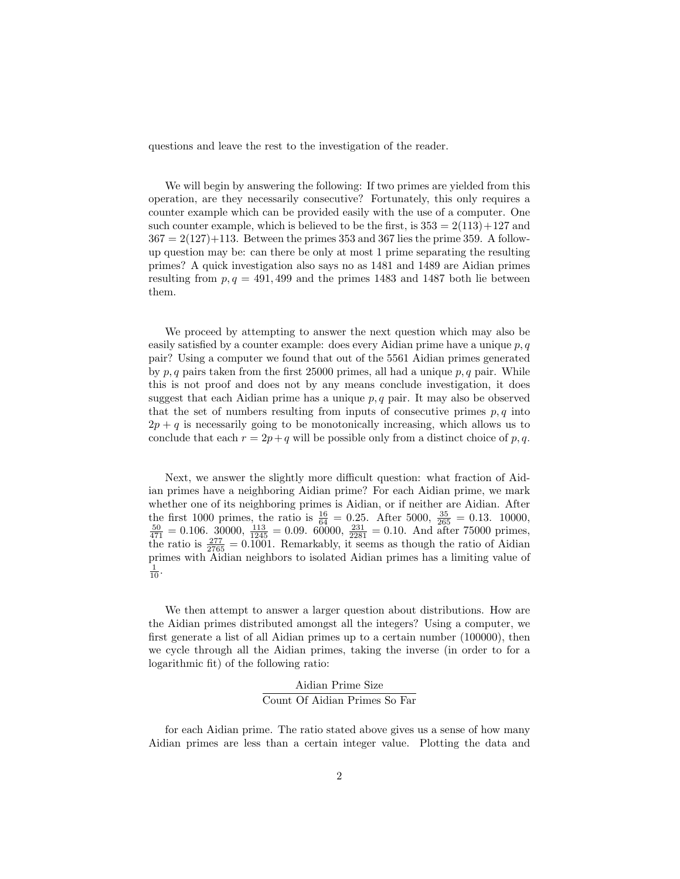questions and leave the rest to the investigation of the reader.

We will begin by answering the following: If two primes are yielded from this operation, are they necessarily consecutive? Fortunately, this only requires a counter example which can be provided easily with the use of a computer. One such counter example, which is believed to be the first, is  $353 = 2(113) + 127$  and  $367 = 2(127) + 113$ . Between the primes 353 and 367 lies the prime 359. A followup question may be: can there be only at most 1 prime separating the resulting primes? A quick investigation also says no as 1481 and 1489 are Aidian primes resulting from  $p, q = 491, 499$  and the primes 1483 and 1487 both lie between them.

We proceed by attempting to answer the next question which may also be easily satisfied by a counter example: does every Aidian prime have a unique *p, q* pair? Using a computer we found that out of the 5561 Aidian primes generated by *p, q* pairs taken from the first 25000 primes, all had a unique *p, q* pair. While this is not proof and does not by any means conclude investigation, it does suggest that each Aidian prime has a unique *p, q* pair. It may also be observed that the set of numbers resulting from inputs of consecutive primes  $p, q$  into  $2p + q$  is necessarily going to be monotonically increasing, which allows us to conclude that each  $r = 2p + q$  will be possible only from a distinct choice of p, q.

Next, we answer the slightly more difficult question: what fraction of Aidian primes have a neighboring Aidian prime? For each Aidian prime, we mark whether one of its neighboring primes is Aidian, or if neither are Aidian. After the first 1000 primes, the ratio is  $\frac{16}{64} = 0.25$ . After 5000,  $\frac{35}{265} = 0.13$ . 10000,  $\frac{50}{471} = 0.106$ . 30000,  $\frac{113}{1245} = 0.09$ . 60000,  $\frac{231}{2281} = 0.10$ . And after 75000 primes, the ratio is  $\frac{277}{2765} = 0.1001$ . Remarkably, it seems as though the ratio of Aidian primes with Aidian neighbors to isolated Aidian primes has a limiting value of  $\frac{1}{10}$ .

We then attempt to answer a larger question about distributions. How are the Aidian primes distributed amongst all the integers? Using a computer, we first generate a list of all Aidian primes up to a certain number (100000), then we cycle through all the Aidian primes, taking the inverse (in order to for a logarithmic fit) of the following ratio:

### Aidian Prime Size Count Of Aidian Primes So Far

for each Aidian prime. The ratio stated above gives us a sense of how many Aidian primes are less than a certain integer value. Plotting the data and